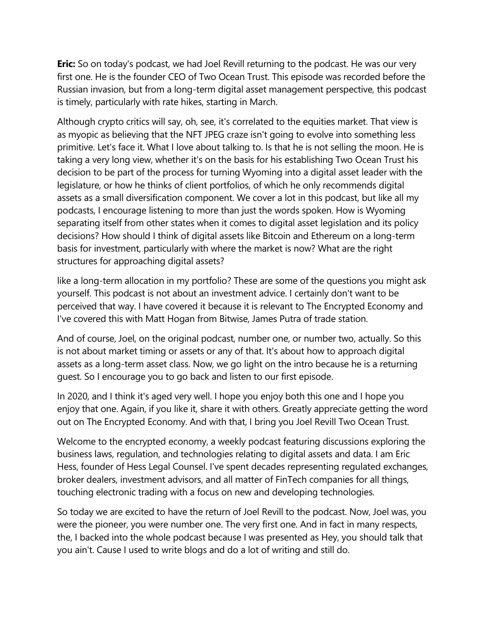**Eric:** So on today's podcast, we had Joel Revill returning to the podcast. He was our very first one. He is the founder CEO of Two Ocean Trust. This episode was recorded before the Russian invasion, but from a long-term digital asset management perspective, this podcast is timely, particularly with rate hikes, starting in March.

Although crypto critics will say, oh, see, it's correlated to the equities market. That view is as myopic as believing that the NFT JPEG craze isn't going to evolve into something less primitive. Let's face it. What I love about talking to. Is that he is not selling the moon. He is taking a very long view, whether it's on the basis for his establishing Two Ocean Trust his decision to be part of the process for turning Wyoming into a digital asset leader with the legislature, or how he thinks of client portfolios, of which he only recommends digital assets as a small diversification component. We cover a lot in this podcast, but like all my podcasts, I encourage listening to more than just the words spoken. How is Wyoming separating itself from other states when it comes to digital asset legislation and its policy decisions? How should I think of digital assets like Bitcoin and Ethereum on a long-term basis for investment, particularly with where the market is now? What are the right structures for approaching digital assets?

like a long-term allocation in my portfolio? These are some of the questions you might ask yourself. This podcast is not about an investment advice. I certainly don't want to be perceived that way. I have covered it because it is relevant to The Encrypted Economy and I've covered this with Matt Hogan from Bitwise, James Putra of trade station.

And of course, Joel, on the original podcast, number one, or number two, actually. So this is not about market timing or assets or any of that. It's about how to approach digital assets as a long-term asset class. Now, we go light on the intro because he is a returning guest. So I encourage you to go back and listen to our first episode.

In 2020, and I think it's aged very well. I hope you enjoy both this one and I hope you enjoy that one. Again, if you like it, share it with others. Greatly appreciate getting the word out on The Encrypted Economy. And with that, I bring you Joel Revill Two Ocean Trust.

Welcome to the encrypted economy, a weekly podcast featuring discussions exploring the business laws, regulation, and technologies relating to digital assets and data. I am Eric Hess, founder of Hess Legal Counsel. I've spent decades representing regulated exchanges, broker dealers, investment advisors, and all matter of FinTech companies for all things, touching electronic trading with a focus on new and developing technologies.

So today we are excited to have the return of Joel Revill to the podcast. Now, Joel was, you were the pioneer, you were number one. The very first one. And in fact in many respects, the, I backed into the whole podcast because I was presented as Hey, you should talk that you ain't. Cause I used to write blogs and do a lot of writing and still do.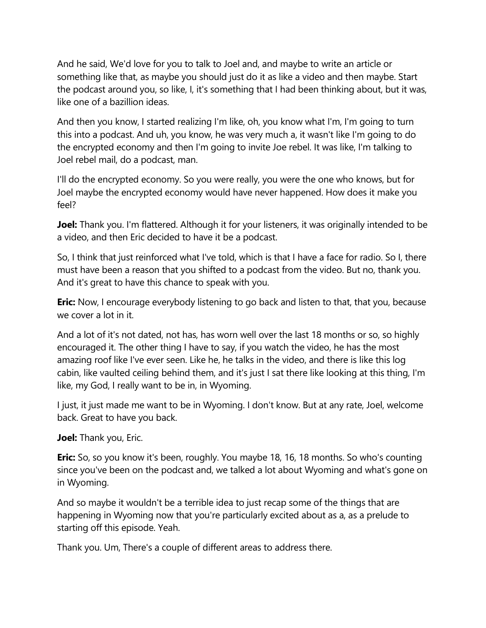And he said, We'd love for you to talk to Joel and, and maybe to write an article or something like that, as maybe you should just do it as like a video and then maybe. Start the podcast around you, so like, I, it's something that I had been thinking about, but it was, like one of a bazillion ideas.

And then you know, I started realizing I'm like, oh, you know what I'm, I'm going to turn this into a podcast. And uh, you know, he was very much a, it wasn't like I'm going to do the encrypted economy and then I'm going to invite Joe rebel. It was like, I'm talking to Joel rebel mail, do a podcast, man.

I'll do the encrypted economy. So you were really, you were the one who knows, but for Joel maybe the encrypted economy would have never happened. How does it make you feel?

**Joel:** Thank you. I'm flattered. Although it for your listeners, it was originally intended to be a video, and then Eric decided to have it be a podcast.

So, I think that just reinforced what I've told, which is that I have a face for radio. So I, there must have been a reason that you shifted to a podcast from the video. But no, thank you. And it's great to have this chance to speak with you.

**Eric:** Now, I encourage everybody listening to go back and listen to that, that you, because we cover a lot in it.

And a lot of it's not dated, not has, has worn well over the last 18 months or so, so highly encouraged it. The other thing I have to say, if you watch the video, he has the most amazing roof like I've ever seen. Like he, he talks in the video, and there is like this log cabin, like vaulted ceiling behind them, and it's just I sat there like looking at this thing, I'm like, my God, I really want to be in, in Wyoming.

I just, it just made me want to be in Wyoming. I don't know. But at any rate, Joel, welcome back. Great to have you back.

**Joel:** Thank you, Eric.

**Eric:** So, so you know it's been, roughly. You maybe 18, 16, 18 months. So who's counting since you've been on the podcast and, we talked a lot about Wyoming and what's gone on in Wyoming.

And so maybe it wouldn't be a terrible idea to just recap some of the things that are happening in Wyoming now that you're particularly excited about as a, as a prelude to starting off this episode. Yeah.

Thank you. Um, There's a couple of different areas to address there.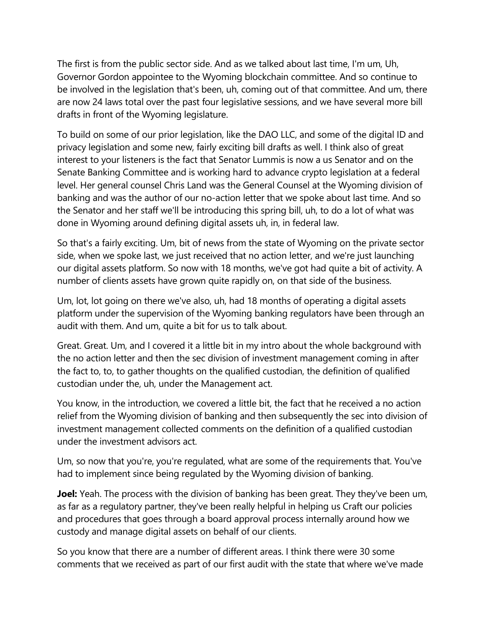The first is from the public sector side. And as we talked about last time, I'm um, Uh, Governor Gordon appointee to the Wyoming blockchain committee. And so continue to be involved in the legislation that's been, uh, coming out of that committee. And um, there are now 24 laws total over the past four legislative sessions, and we have several more bill drafts in front of the Wyoming legislature.

To build on some of our prior legislation, like the DAO LLC, and some of the digital ID and privacy legislation and some new, fairly exciting bill drafts as well. I think also of great interest to your listeners is the fact that Senator Lummis is now a us Senator and on the Senate Banking Committee and is working hard to advance crypto legislation at a federal level. Her general counsel Chris Land was the General Counsel at the Wyoming division of banking and was the author of our no-action letter that we spoke about last time. And so the Senator and her staff we'll be introducing this spring bill, uh, to do a lot of what was done in Wyoming around defining digital assets uh, in, in federal law.

So that's a fairly exciting. Um, bit of news from the state of Wyoming on the private sector side, when we spoke last, we just received that no action letter, and we're just launching our digital assets platform. So now with 18 months, we've got had quite a bit of activity. A number of clients assets have grown quite rapidly on, on that side of the business.

Um, lot, lot going on there we've also, uh, had 18 months of operating a digital assets platform under the supervision of the Wyoming banking regulators have been through an audit with them. And um, quite a bit for us to talk about.

Great. Great. Um, and I covered it a little bit in my intro about the whole background with the no action letter and then the sec division of investment management coming in after the fact to, to, to gather thoughts on the qualified custodian, the definition of qualified custodian under the, uh, under the Management act.

You know, in the introduction, we covered a little bit, the fact that he received a no action relief from the Wyoming division of banking and then subsequently the sec into division of investment management collected comments on the definition of a qualified custodian under the investment advisors act.

Um, so now that you're, you're regulated, what are some of the requirements that. You've had to implement since being regulated by the Wyoming division of banking.

**Joel:** Yeah. The process with the division of banking has been great. They they've been um, as far as a regulatory partner, they've been really helpful in helping us Craft our policies and procedures that goes through a board approval process internally around how we custody and manage digital assets on behalf of our clients.

So you know that there are a number of different areas. I think there were 30 some comments that we received as part of our first audit with the state that where we've made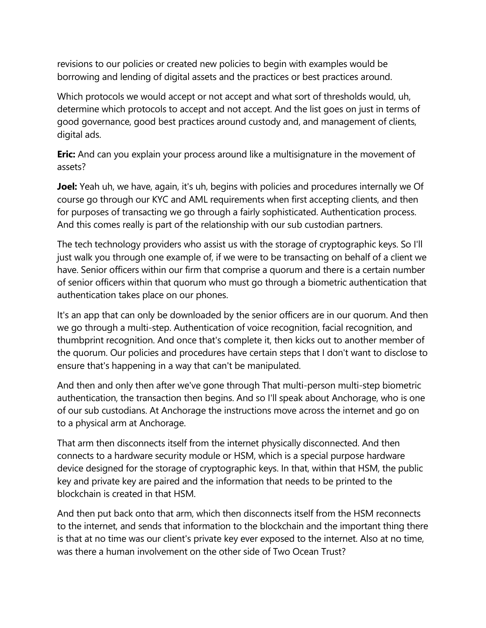revisions to our policies or created new policies to begin with examples would be borrowing and lending of digital assets and the practices or best practices around.

Which protocols we would accept or not accept and what sort of thresholds would, uh, determine which protocols to accept and not accept. And the list goes on just in terms of good governance, good best practices around custody and, and management of clients, digital ads.

**Eric:** And can you explain your process around like a multisignature in the movement of assets?

**Joel:** Yeah uh, we have, again, it's uh, begins with policies and procedures internally we Of course go through our KYC and AML requirements when first accepting clients, and then for purposes of transacting we go through a fairly sophisticated. Authentication process. And this comes really is part of the relationship with our sub custodian partners.

The tech technology providers who assist us with the storage of cryptographic keys. So I'll just walk you through one example of, if we were to be transacting on behalf of a client we have. Senior officers within our firm that comprise a quorum and there is a certain number of senior officers within that quorum who must go through a biometric authentication that authentication takes place on our phones.

It's an app that can only be downloaded by the senior officers are in our quorum. And then we go through a multi-step. Authentication of voice recognition, facial recognition, and thumbprint recognition. And once that's complete it, then kicks out to another member of the quorum. Our policies and procedures have certain steps that I don't want to disclose to ensure that's happening in a way that can't be manipulated.

And then and only then after we've gone through That multi-person multi-step biometric authentication, the transaction then begins. And so I'll speak about Anchorage, who is one of our sub custodians. At Anchorage the instructions move across the internet and go on to a physical arm at Anchorage.

That arm then disconnects itself from the internet physically disconnected. And then connects to a hardware security module or HSM, which is a special purpose hardware device designed for the storage of cryptographic keys. In that, within that HSM, the public key and private key are paired and the information that needs to be printed to the blockchain is created in that HSM.

And then put back onto that arm, which then disconnects itself from the HSM reconnects to the internet, and sends that information to the blockchain and the important thing there is that at no time was our client's private key ever exposed to the internet. Also at no time, was there a human involvement on the other side of Two Ocean Trust?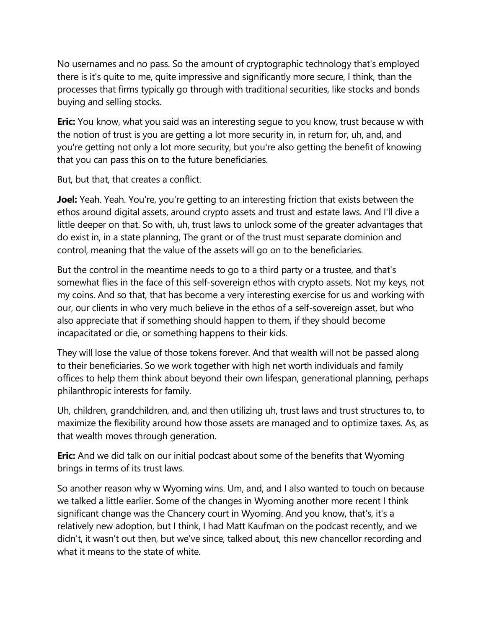No usernames and no pass. So the amount of cryptographic technology that's employed there is it's quite to me, quite impressive and significantly more secure, I think, than the processes that firms typically go through with traditional securities, like stocks and bonds buying and selling stocks.

**Eric:** You know, what you said was an interesting seque to you know, trust because w with the notion of trust is you are getting a lot more security in, in return for, uh, and, and you're getting not only a lot more security, but you're also getting the benefit of knowing that you can pass this on to the future beneficiaries.

But, but that, that creates a conflict.

**Joel:** Yeah. Yeah. You're, you're getting to an interesting friction that exists between the ethos around digital assets, around crypto assets and trust and estate laws. And I'll dive a little deeper on that. So with, uh, trust laws to unlock some of the greater advantages that do exist in, in a state planning, The grant or of the trust must separate dominion and control, meaning that the value of the assets will go on to the beneficiaries.

But the control in the meantime needs to go to a third party or a trustee, and that's somewhat flies in the face of this self-sovereign ethos with crypto assets. Not my keys, not my coins. And so that, that has become a very interesting exercise for us and working with our, our clients in who very much believe in the ethos of a self-sovereign asset, but who also appreciate that if something should happen to them, if they should become incapacitated or die, or something happens to their kids.

They will lose the value of those tokens forever. And that wealth will not be passed along to their beneficiaries. So we work together with high net worth individuals and family offices to help them think about beyond their own lifespan, generational planning, perhaps philanthropic interests for family.

Uh, children, grandchildren, and, and then utilizing uh, trust laws and trust structures to, to maximize the flexibility around how those assets are managed and to optimize taxes. As, as that wealth moves through generation.

**Eric:** And we did talk on our initial podcast about some of the benefits that Wyoming brings in terms of its trust laws.

So another reason why w Wyoming wins. Um, and, and I also wanted to touch on because we talked a little earlier. Some of the changes in Wyoming another more recent I think significant change was the Chancery court in Wyoming. And you know, that's, it's a relatively new adoption, but I think, I had Matt Kaufman on the podcast recently, and we didn't, it wasn't out then, but we've since, talked about, this new chancellor recording and what it means to the state of white.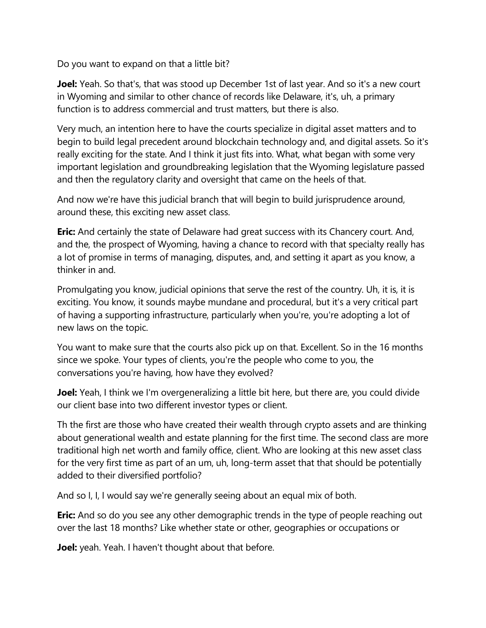Do you want to expand on that a little bit?

**Joel:** Yeah. So that's, that was stood up December 1st of last year. And so it's a new court in Wyoming and similar to other chance of records like Delaware, it's, uh, a primary function is to address commercial and trust matters, but there is also.

Very much, an intention here to have the courts specialize in digital asset matters and to begin to build legal precedent around blockchain technology and, and digital assets. So it's really exciting for the state. And I think it just fits into. What, what began with some very important legislation and groundbreaking legislation that the Wyoming legislature passed and then the regulatory clarity and oversight that came on the heels of that.

And now we're have this judicial branch that will begin to build jurisprudence around, around these, this exciting new asset class.

**Eric:** And certainly the state of Delaware had great success with its Chancery court. And, and the, the prospect of Wyoming, having a chance to record with that specialty really has a lot of promise in terms of managing, disputes, and, and setting it apart as you know, a thinker in and.

Promulgating you know, judicial opinions that serve the rest of the country. Uh, it is, it is exciting. You know, it sounds maybe mundane and procedural, but it's a very critical part of having a supporting infrastructure, particularly when you're, you're adopting a lot of new laws on the topic.

You want to make sure that the courts also pick up on that. Excellent. So in the 16 months since we spoke. Your types of clients, you're the people who come to you, the conversations you're having, how have they evolved?

**Joel:** Yeah, I think we I'm overgeneralizing a little bit here, but there are, you could divide our client base into two different investor types or client.

Th the first are those who have created their wealth through crypto assets and are thinking about generational wealth and estate planning for the first time. The second class are more traditional high net worth and family office, client. Who are looking at this new asset class for the very first time as part of an um, uh, long-term asset that that should be potentially added to their diversified portfolio?

And so I, I, I would say we're generally seeing about an equal mix of both.

**Eric:** And so do you see any other demographic trends in the type of people reaching out over the last 18 months? Like whether state or other, geographies or occupations or

**Joel:** yeah. Yeah. I haven't thought about that before.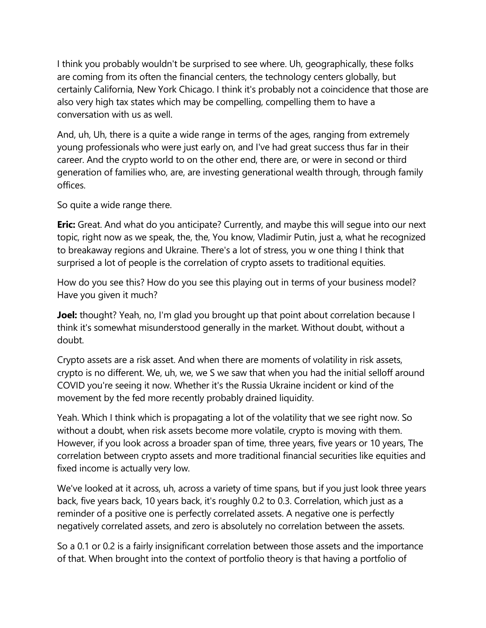I think you probably wouldn't be surprised to see where. Uh, geographically, these folks are coming from its often the financial centers, the technology centers globally, but certainly California, New York Chicago. I think it's probably not a coincidence that those are also very high tax states which may be compelling, compelling them to have a conversation with us as well.

And, uh, Uh, there is a quite a wide range in terms of the ages, ranging from extremely young professionals who were just early on, and I've had great success thus far in their career. And the crypto world to on the other end, there are, or were in second or third generation of families who, are, are investing generational wealth through, through family offices.

So quite a wide range there.

**Eric:** Great. And what do you anticipate? Currently, and maybe this will seque into our next topic, right now as we speak, the, the, You know, Vladimir Putin, just a, what he recognized to breakaway regions and Ukraine. There's a lot of stress, you w one thing I think that surprised a lot of people is the correlation of crypto assets to traditional equities.

How do you see this? How do you see this playing out in terms of your business model? Have you given it much?

**Joel:** thought? Yeah, no, I'm glad you brought up that point about correlation because I think it's somewhat misunderstood generally in the market. Without doubt, without a doubt.

Crypto assets are a risk asset. And when there are moments of volatility in risk assets, crypto is no different. We, uh, we, we S we saw that when you had the initial selloff around COVID you're seeing it now. Whether it's the Russia Ukraine incident or kind of the movement by the fed more recently probably drained liquidity.

Yeah. Which I think which is propagating a lot of the volatility that we see right now. So without a doubt, when risk assets become more volatile, crypto is moving with them. However, if you look across a broader span of time, three years, five years or 10 years, The correlation between crypto assets and more traditional financial securities like equities and fixed income is actually very low.

We've looked at it across, uh, across a variety of time spans, but if you just look three years back, five years back, 10 years back, it's roughly 0.2 to 0.3. Correlation, which just as a reminder of a positive one is perfectly correlated assets. A negative one is perfectly negatively correlated assets, and zero is absolutely no correlation between the assets.

So a 0.1 or 0.2 is a fairly insignificant correlation between those assets and the importance of that. When brought into the context of portfolio theory is that having a portfolio of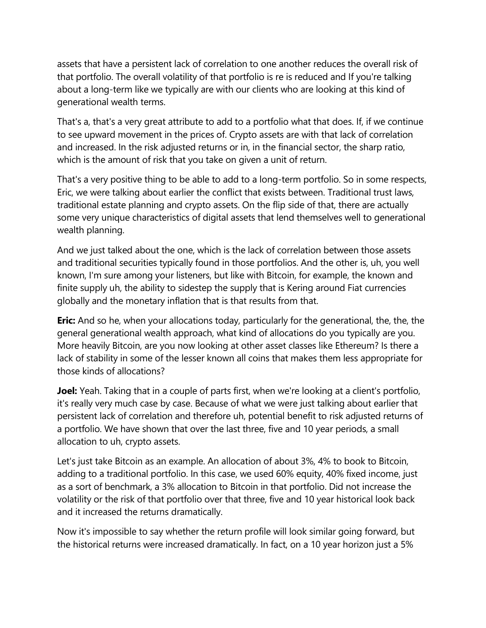assets that have a persistent lack of correlation to one another reduces the overall risk of that portfolio. The overall volatility of that portfolio is re is reduced and If you're talking about a long-term like we typically are with our clients who are looking at this kind of generational wealth terms.

That's a, that's a very great attribute to add to a portfolio what that does. If, if we continue to see upward movement in the prices of. Crypto assets are with that lack of correlation and increased. In the risk adjusted returns or in, in the financial sector, the sharp ratio, which is the amount of risk that you take on given a unit of return.

That's a very positive thing to be able to add to a long-term portfolio. So in some respects, Eric, we were talking about earlier the conflict that exists between. Traditional trust laws, traditional estate planning and crypto assets. On the flip side of that, there are actually some very unique characteristics of digital assets that lend themselves well to generational wealth planning.

And we just talked about the one, which is the lack of correlation between those assets and traditional securities typically found in those portfolios. And the other is, uh, you well known, I'm sure among your listeners, but like with Bitcoin, for example, the known and finite supply uh, the ability to sidestep the supply that is Kering around Fiat currencies globally and the monetary inflation that is that results from that.

**Eric:** And so he, when your allocations today, particularly for the generational, the, the, the general generational wealth approach, what kind of allocations do you typically are you. More heavily Bitcoin, are you now looking at other asset classes like Ethereum? Is there a lack of stability in some of the lesser known all coins that makes them less appropriate for those kinds of allocations?

**Joel:** Yeah. Taking that in a couple of parts first, when we're looking at a client's portfolio, it's really very much case by case. Because of what we were just talking about earlier that persistent lack of correlation and therefore uh, potential benefit to risk adjusted returns of a portfolio. We have shown that over the last three, five and 10 year periods, a small allocation to uh, crypto assets.

Let's just take Bitcoin as an example. An allocation of about 3%, 4% to book to Bitcoin, adding to a traditional portfolio. In this case, we used 60% equity, 40% fixed income, just as a sort of benchmark, a 3% allocation to Bitcoin in that portfolio. Did not increase the volatility or the risk of that portfolio over that three, five and 10 year historical look back and it increased the returns dramatically.

Now it's impossible to say whether the return profile will look similar going forward, but the historical returns were increased dramatically. In fact, on a 10 year horizon just a 5%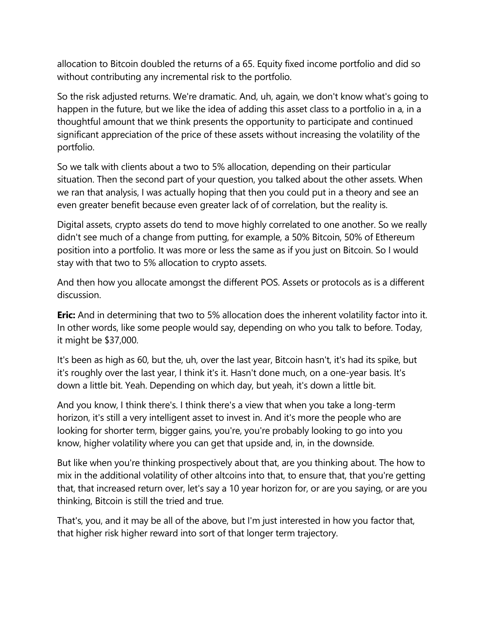allocation to Bitcoin doubled the returns of a 65. Equity fixed income portfolio and did so without contributing any incremental risk to the portfolio.

So the risk adjusted returns. We're dramatic. And, uh, again, we don't know what's going to happen in the future, but we like the idea of adding this asset class to a portfolio in a, in a thoughtful amount that we think presents the opportunity to participate and continued significant appreciation of the price of these assets without increasing the volatility of the portfolio.

So we talk with clients about a two to 5% allocation, depending on their particular situation. Then the second part of your question, you talked about the other assets. When we ran that analysis, I was actually hoping that then you could put in a theory and see an even greater benefit because even greater lack of of correlation, but the reality is.

Digital assets, crypto assets do tend to move highly correlated to one another. So we really didn't see much of a change from putting, for example, a 50% Bitcoin, 50% of Ethereum position into a portfolio. It was more or less the same as if you just on Bitcoin. So I would stay with that two to 5% allocation to crypto assets.

And then how you allocate amongst the different POS. Assets or protocols as is a different discussion.

**Eric:** And in determining that two to 5% allocation does the inherent volatility factor into it. In other words, like some people would say, depending on who you talk to before. Today, it might be \$37,000.

It's been as high as 60, but the, uh, over the last year, Bitcoin hasn't, it's had its spike, but it's roughly over the last year, I think it's it. Hasn't done much, on a one-year basis. It's down a little bit. Yeah. Depending on which day, but yeah, it's down a little bit.

And you know, I think there's. I think there's a view that when you take a long-term horizon, it's still a very intelligent asset to invest in. And it's more the people who are looking for shorter term, bigger gains, you're, you're probably looking to go into you know, higher volatility where you can get that upside and, in, in the downside.

But like when you're thinking prospectively about that, are you thinking about. The how to mix in the additional volatility of other altcoins into that, to ensure that, that you're getting that, that increased return over, let's say a 10 year horizon for, or are you saying, or are you thinking, Bitcoin is still the tried and true.

That's, you, and it may be all of the above, but I'm just interested in how you factor that, that higher risk higher reward into sort of that longer term trajectory.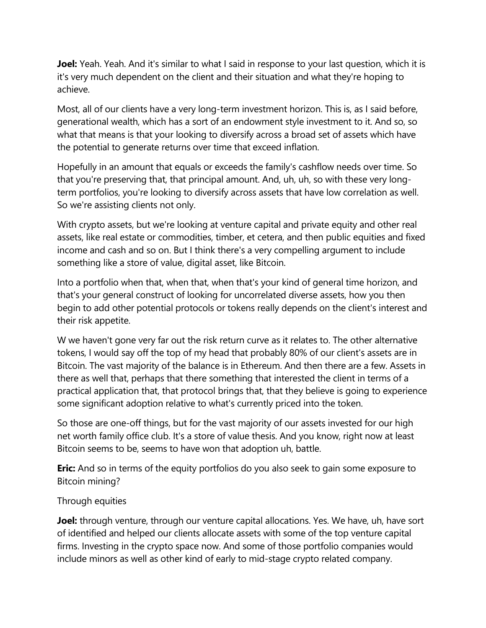**Joel:** Yeah. Yeah. And it's similar to what I said in response to your last question, which it is it's very much dependent on the client and their situation and what they're hoping to achieve.

Most, all of our clients have a very long-term investment horizon. This is, as I said before, generational wealth, which has a sort of an endowment style investment to it. And so, so what that means is that your looking to diversify across a broad set of assets which have the potential to generate returns over time that exceed inflation.

Hopefully in an amount that equals or exceeds the family's cashflow needs over time. So that you're preserving that, that principal amount. And, uh, uh, so with these very longterm portfolios, you're looking to diversify across assets that have low correlation as well. So we're assisting clients not only.

With crypto assets, but we're looking at venture capital and private equity and other real assets, like real estate or commodities, timber, et cetera, and then public equities and fixed income and cash and so on. But I think there's a very compelling argument to include something like a store of value, digital asset, like Bitcoin.

Into a portfolio when that, when that, when that's your kind of general time horizon, and that's your general construct of looking for uncorrelated diverse assets, how you then begin to add other potential protocols or tokens really depends on the client's interest and their risk appetite.

W we haven't gone very far out the risk return curve as it relates to. The other alternative tokens, I would say off the top of my head that probably 80% of our client's assets are in Bitcoin. The vast majority of the balance is in Ethereum. And then there are a few. Assets in there as well that, perhaps that there something that interested the client in terms of a practical application that, that protocol brings that, that they believe is going to experience some significant adoption relative to what's currently priced into the token.

So those are one-off things, but for the vast majority of our assets invested for our high net worth family office club. It's a store of value thesis. And you know, right now at least Bitcoin seems to be, seems to have won that adoption uh, battle.

**Eric:** And so in terms of the equity portfolios do you also seek to gain some exposure to Bitcoin mining?

## Through equities

**Joel:** through venture, through our venture capital allocations. Yes. We have, uh, have sort of identified and helped our clients allocate assets with some of the top venture capital firms. Investing in the crypto space now. And some of those portfolio companies would include minors as well as other kind of early to mid-stage crypto related company.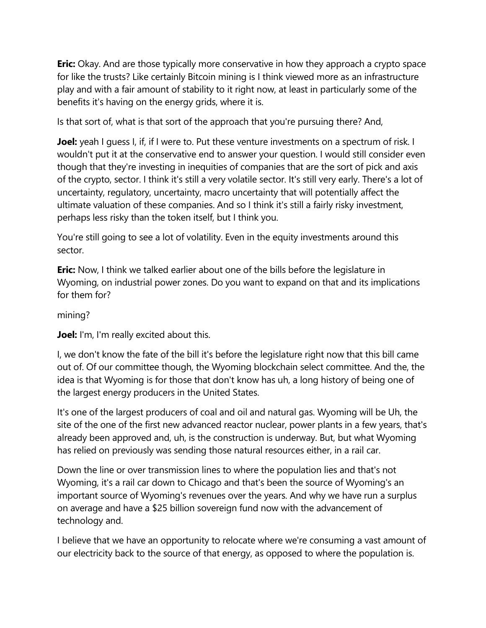**Eric:** Okay. And are those typically more conservative in how they approach a crypto space for like the trusts? Like certainly Bitcoin mining is I think viewed more as an infrastructure play and with a fair amount of stability to it right now, at least in particularly some of the benefits it's having on the energy grids, where it is.

Is that sort of, what is that sort of the approach that you're pursuing there? And,

**Joel:** yeah I guess I, if, if I were to. Put these venture investments on a spectrum of risk. I wouldn't put it at the conservative end to answer your question. I would still consider even though that they're investing in inequities of companies that are the sort of pick and axis of the crypto, sector. I think it's still a very volatile sector. It's still very early. There's a lot of uncertainty, regulatory, uncertainty, macro uncertainty that will potentially affect the ultimate valuation of these companies. And so I think it's still a fairly risky investment, perhaps less risky than the token itself, but I think you.

You're still going to see a lot of volatility. Even in the equity investments around this sector.

**Eric:** Now, I think we talked earlier about one of the bills before the legislature in Wyoming, on industrial power zones. Do you want to expand on that and its implications for them for?

mining?

**Joel:** I'm, I'm really excited about this.

I, we don't know the fate of the bill it's before the legislature right now that this bill came out of. Of our committee though, the Wyoming blockchain select committee. And the, the idea is that Wyoming is for those that don't know has uh, a long history of being one of the largest energy producers in the United States.

It's one of the largest producers of coal and oil and natural gas. Wyoming will be Uh, the site of the one of the first new advanced reactor nuclear, power plants in a few years, that's already been approved and, uh, is the construction is underway. But, but what Wyoming has relied on previously was sending those natural resources either, in a rail car.

Down the line or over transmission lines to where the population lies and that's not Wyoming, it's a rail car down to Chicago and that's been the source of Wyoming's an important source of Wyoming's revenues over the years. And why we have run a surplus on average and have a \$25 billion sovereign fund now with the advancement of technology and.

I believe that we have an opportunity to relocate where we're consuming a vast amount of our electricity back to the source of that energy, as opposed to where the population is.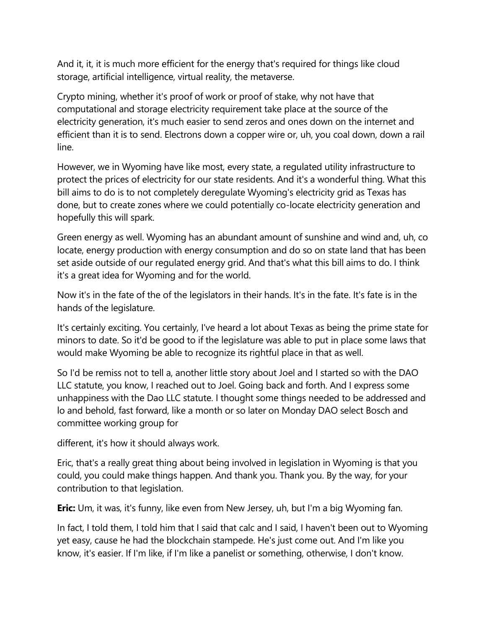And it, it, it is much more efficient for the energy that's required for things like cloud storage, artificial intelligence, virtual reality, the metaverse.

Crypto mining, whether it's proof of work or proof of stake, why not have that computational and storage electricity requirement take place at the source of the electricity generation, it's much easier to send zeros and ones down on the internet and efficient than it is to send. Electrons down a copper wire or, uh, you coal down, down a rail line.

However, we in Wyoming have like most, every state, a regulated utility infrastructure to protect the prices of electricity for our state residents. And it's a wonderful thing. What this bill aims to do is to not completely deregulate Wyoming's electricity grid as Texas has done, but to create zones where we could potentially co-locate electricity generation and hopefully this will spark.

Green energy as well. Wyoming has an abundant amount of sunshine and wind and, uh, co locate, energy production with energy consumption and do so on state land that has been set aside outside of our regulated energy grid. And that's what this bill aims to do. I think it's a great idea for Wyoming and for the world.

Now it's in the fate of the of the legislators in their hands. It's in the fate. It's fate is in the hands of the legislature.

It's certainly exciting. You certainly, I've heard a lot about Texas as being the prime state for minors to date. So it'd be good to if the legislature was able to put in place some laws that would make Wyoming be able to recognize its rightful place in that as well.

So I'd be remiss not to tell a, another little story about Joel and I started so with the DAO LLC statute, you know, I reached out to Joel. Going back and forth. And I express some unhappiness with the Dao LLC statute. I thought some things needed to be addressed and lo and behold, fast forward, like a month or so later on Monday DAO select Bosch and committee working group for

different, it's how it should always work.

Eric, that's a really great thing about being involved in legislation in Wyoming is that you could, you could make things happen. And thank you. Thank you. By the way, for your contribution to that legislation.

**Eric:** Um, it was, it's funny, like even from New Jersey, uh, but I'm a big Wyoming fan.

In fact, I told them, I told him that I said that calc and I said, I haven't been out to Wyoming yet easy, cause he had the blockchain stampede. He's just come out. And I'm like you know, it's easier. If I'm like, if I'm like a panelist or something, otherwise, I don't know.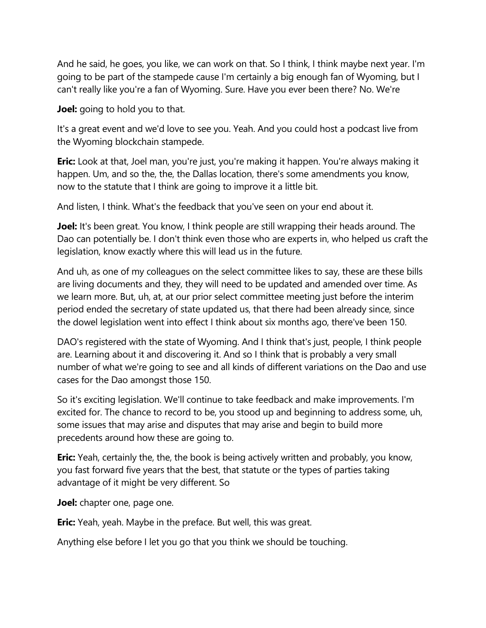And he said, he goes, you like, we can work on that. So I think, I think maybe next year. I'm going to be part of the stampede cause I'm certainly a big enough fan of Wyoming, but I can't really like you're a fan of Wyoming. Sure. Have you ever been there? No. We're

**Joel:** going to hold you to that.

It's a great event and we'd love to see you. Yeah. And you could host a podcast live from the Wyoming blockchain stampede.

**Eric:** Look at that, Joel man, you're just, you're making it happen. You're always making it happen. Um, and so the, the, the Dallas location, there's some amendments you know, now to the statute that I think are going to improve it a little bit.

And listen, I think. What's the feedback that you've seen on your end about it.

**Joel:** It's been great. You know, I think people are still wrapping their heads around. The Dao can potentially be. I don't think even those who are experts in, who helped us craft the legislation, know exactly where this will lead us in the future.

And uh, as one of my colleagues on the select committee likes to say, these are these bills are living documents and they, they will need to be updated and amended over time. As we learn more. But, uh, at, at our prior select committee meeting just before the interim period ended the secretary of state updated us, that there had been already since, since the dowel legislation went into effect I think about six months ago, there've been 150.

DAO's registered with the state of Wyoming. And I think that's just, people, I think people are. Learning about it and discovering it. And so I think that is probably a very small number of what we're going to see and all kinds of different variations on the Dao and use cases for the Dao amongst those 150.

So it's exciting legislation. We'll continue to take feedback and make improvements. I'm excited for. The chance to record to be, you stood up and beginning to address some, uh, some issues that may arise and disputes that may arise and begin to build more precedents around how these are going to.

**Eric:** Yeah, certainly the, the, the book is being actively written and probably, you know, you fast forward five years that the best, that statute or the types of parties taking advantage of it might be very different. So

**Joel:** chapter one, page one.

**Eric:** Yeah, yeah. Maybe in the preface. But well, this was great.

Anything else before I let you go that you think we should be touching.